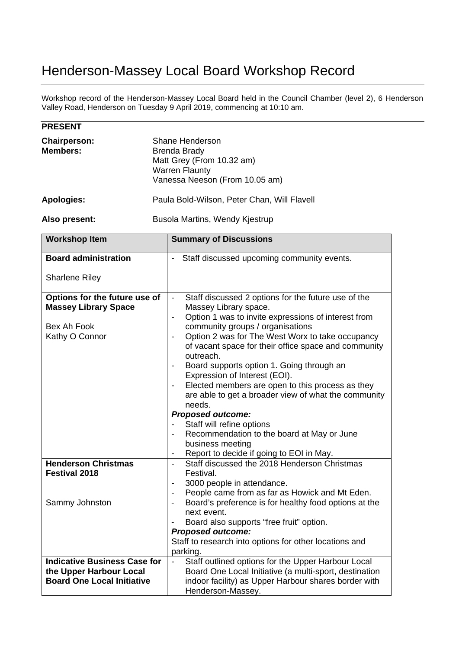## Henderson-Massey Local Board Workshop Record

Workshop record of the Henderson-Massey Local Board held in the Council Chamber (level 2), 6 Henderson Valley Road, Henderson on Tuesday 9 April 2019, commencing at 10:10 am.

| <b>PRESENT</b>                  |                                                                                                                         |  |
|---------------------------------|-------------------------------------------------------------------------------------------------------------------------|--|
| <b>Chairperson:</b><br>Members: | Shane Henderson<br>Brenda Brady<br>Matt Grey (From 10.32 am)<br><b>Warren Flaunty</b><br>Vanessa Neeson (From 10.05 am) |  |
| Apologies:                      | Paula Bold-Wilson, Peter Chan, Will Flavell                                                                             |  |
| Also present:                   | Busola Martins, Wendy Kjestrup                                                                                          |  |
|                                 |                                                                                                                         |  |

| <b>Workshop Item</b>                                                                          | <b>Summary of Discussions</b>                                                                                                                                                                                                                                                                                                                                                                                                                                                                                                                                                                                                                                                                                                                                                                                                                               |
|-----------------------------------------------------------------------------------------------|-------------------------------------------------------------------------------------------------------------------------------------------------------------------------------------------------------------------------------------------------------------------------------------------------------------------------------------------------------------------------------------------------------------------------------------------------------------------------------------------------------------------------------------------------------------------------------------------------------------------------------------------------------------------------------------------------------------------------------------------------------------------------------------------------------------------------------------------------------------|
| <b>Board administration</b>                                                                   | Staff discussed upcoming community events.                                                                                                                                                                                                                                                                                                                                                                                                                                                                                                                                                                                                                                                                                                                                                                                                                  |
| <b>Sharlene Riley</b>                                                                         |                                                                                                                                                                                                                                                                                                                                                                                                                                                                                                                                                                                                                                                                                                                                                                                                                                                             |
| Options for the future use of<br><b>Massey Library Space</b><br>Bex Ah Fook<br>Kathy O Connor | Staff discussed 2 options for the future use of the<br>$\qquad \qquad \blacksquare$<br>Massey Library space.<br>Option 1 was to invite expressions of interest from<br>$\overline{\phantom{0}}$<br>community groups / organisations<br>Option 2 was for The West Worx to take occupancy<br>$\qquad \qquad \blacksquare$<br>of vacant space for their office space and community<br>outreach.<br>Board supports option 1. Going through an<br>$\overline{\phantom{a}}$<br>Expression of Interest (EOI).<br>Elected members are open to this process as they<br>$\overline{\phantom{0}}$<br>are able to get a broader view of what the community<br>needs.<br><b>Proposed outcome:</b><br>Staff will refine options<br>Recommendation to the board at May or June<br>business meeting<br>Report to decide if going to EOI in May.<br>$\overline{\phantom{a}}$ |
| <b>Henderson Christmas</b><br><b>Festival 2018</b>                                            | Staff discussed the 2018 Henderson Christmas<br>$\blacksquare$<br>Festival.<br>3000 people in attendance.<br>$\overline{\phantom{a}}$                                                                                                                                                                                                                                                                                                                                                                                                                                                                                                                                                                                                                                                                                                                       |
| Sammy Johnston                                                                                | People came from as far as Howick and Mt Eden.<br>$\overline{\phantom{a}}$<br>Board's preference is for healthy food options at the<br>$\overline{\phantom{a}}$<br>next event.<br>Board also supports "free fruit" option.<br>$\blacksquare$                                                                                                                                                                                                                                                                                                                                                                                                                                                                                                                                                                                                                |
|                                                                                               | <b>Proposed outcome:</b><br>Staff to research into options for other locations and                                                                                                                                                                                                                                                                                                                                                                                                                                                                                                                                                                                                                                                                                                                                                                          |
|                                                                                               | parking.                                                                                                                                                                                                                                                                                                                                                                                                                                                                                                                                                                                                                                                                                                                                                                                                                                                    |
| <b>Indicative Business Case for</b>                                                           | Staff outlined options for the Upper Harbour Local<br>$\blacksquare$                                                                                                                                                                                                                                                                                                                                                                                                                                                                                                                                                                                                                                                                                                                                                                                        |
| the Upper Harbour Local                                                                       | Board One Local Initiative (a multi-sport, destination                                                                                                                                                                                                                                                                                                                                                                                                                                                                                                                                                                                                                                                                                                                                                                                                      |
| <b>Board One Local Initiative</b>                                                             | indoor facility) as Upper Harbour shares border with<br>Henderson-Massey.                                                                                                                                                                                                                                                                                                                                                                                                                                                                                                                                                                                                                                                                                                                                                                                   |